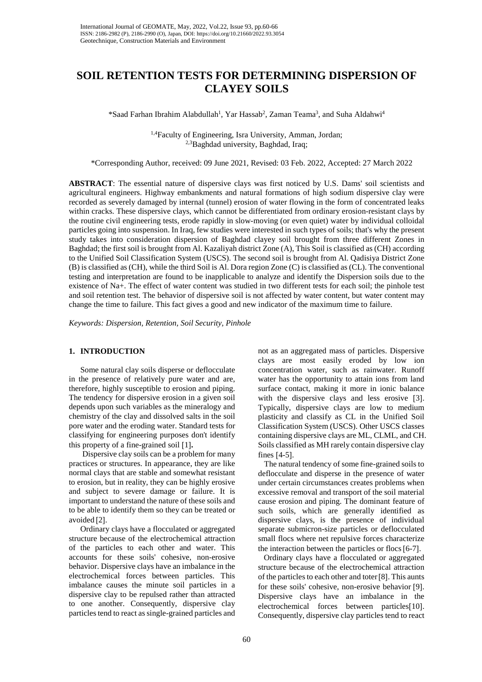# **SOIL RETENTION TESTS FOR DETERMINING DISPERSION OF CLAYEY SOILS**

\*Saad Farhan Ibrahim Alabdullah<sup>1</sup>, Yar Hassab<sup>2</sup>, Zaman Teama<sup>3</sup>, and Suha Aldahwi<sup>4</sup>

<sup>1,4</sup>Faculty of Engineering, Isra University, Amman, Jordan; <sup>2,3</sup>Baghdad university, Baghdad, Iraq;

\*Corresponding Author, received: 09 June 2021, Revised: 03 Feb. 2022, Accepted: 27 March 2022

**ABSTRACT**: The essential nature of dispersive clays was first noticed by U.S. Dams' soil scientists and agricultural engineers. Highway embankments and natural formations of high sodium dispersive clay were recorded as severely damaged by internal (tunnel) erosion of water flowing in the form of concentrated leaks within cracks. These dispersive clays, which cannot be differentiated from ordinary erosion-resistant clays by the routine civil engineering tests, erode rapidly in slow-moving (or even quiet) water by individual colloidal particles going into suspension. In Iraq, few studies were interested in such types of soils; that's why the present study takes into consideration dispersion of Baghdad clayey soil brought from three different Zones in Baghdad; the first soil is brought from Al. Kazaliyah district Zone (A), This Soil is classified as (CH) according to the Unified Soil Classification System (USCS). The second soil is brought from Al. Qadisiya District Zone (B) is classified as (CH), while the third Soil is Al. Dora region Zone (C) is classified as (CL). The conventional testing and interpretation are found to be inapplicable to analyze and identify the Dispersion soils due to the existence of Na+. The effect of water content was studied in two different tests for each soil; the pinhole test and soil retention test. The behavior of dispersive soil is not affected by water content, but water content may change the time to failure. This fact gives a good and new indicator of the maximum time to failure.

*Keywords: Dispersion, Retention, Soil Security, Pinhole*

## **1. INTRODUCTION**

Some natural clay soils disperse or deflocculate in the presence of relatively pure water and are, therefore, highly susceptible to erosion and piping. The tendency for dispersive erosion in a given soil depends upon such variables as the mineralogy and chemistry of the clay and dissolved salts in the soil pore water and the eroding water. Standard tests for classifying for engineering purposes don't identify this property of a fine-grained soil [1]**.**

Dispersive clay soils can be a problem for many practices or structures. In appearance, they are like normal clays that are stable and somewhat resistant to erosion, but in reality, they can be highly erosive and subject to severe damage or failure. It is important to understand the nature of these soils and to be able to identify them so they can be treated or avoided [2].

Ordinary clays have a flocculated or aggregated structure because of the electrochemical attraction of the particles to each other and water. This accounts for these soils' cohesive, non-erosive behavior. Dispersive clays have an imbalance in the electrochemical forces between particles. This imbalance causes the minute soil particles in a dispersive clay to be repulsed rather than attracted to one another. Consequently, dispersive clay particles tend to react as single-grained particles and

not as an aggregated mass of particles. Dispersive clays are most easily eroded by low ion concentration water, such as rainwater. Runoff water has the opportunity to attain ions from land surface contact, making it more in ionic balance with the dispersive clays and less erosive [3]. Typically, dispersive clays are low to medium plasticity and classify as CL in the Unified Soil Classification System (USCS). Other USCS classes containing dispersive clays are ML, CLML, and CH. Soils classified as MH rarely contain dispersive clay fines [4-5].

 The natural tendency of some fine-grained soils to deflocculate and disperse in the presence of water under certain circumstances creates problems when excessive removal and transport of the soil material cause erosion and piping. The dominant feature of such soils, which are generally identified as dispersive clays, is the presence of individual separate submicron-size particles or deflocculated small flocs where net repulsive forces characterize the interaction between the particles or flocs[6-7].

Ordinary clays have a flocculated or aggregated structure because of the electrochemical attraction of the particles to each other and toter[8]. This aunts for these soils' cohesive, non-erosive behavior [9]. Dispersive clays have an imbalance in the electrochemical forces between particles[10]. Consequently, dispersive clay particles tend to react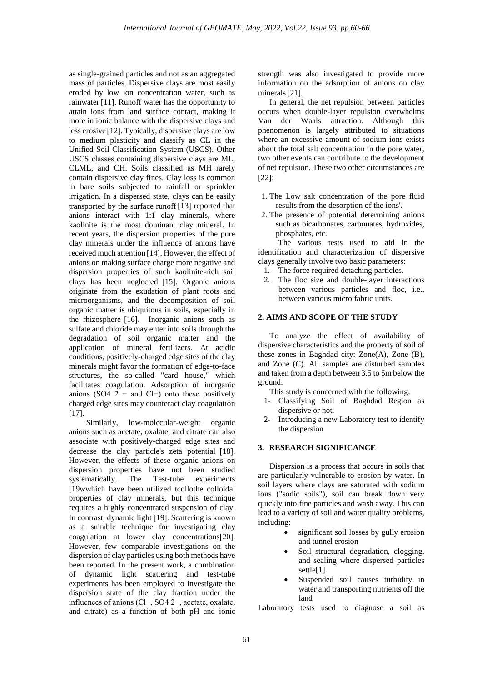as single-grained particles and not as an aggregated mass of particles. Dispersive clays are most easily eroded by low ion concentration water, such as rainwater [11]. Runoff water has the opportunity to attain ions from land surface contact, making it more in ionic balance with the dispersive clays and less erosive [12]. Typically, dispersive clays are low to medium plasticity and classify as CL in the Unified Soil Classification System (USCS). Other USCS classes containing dispersive clays are ML, CLML, and CH. Soils classified as MH rarely contain dispersive clay fines. Clay loss is common in bare soils subjected to rainfall or sprinkler irrigation. In a dispersed state, clays can be easily transported by the surface runoff [13] reported that anions interact with 1:1 clay minerals, where kaolinite is the most dominant clay mineral. In recent years, the dispersion properties of the pure clay minerals under the influence of anions have received much attention [14]. However, the effect of anions on making surface charge more negative and dispersion properties of such kaolinite-rich soil clays has been neglected [15]. Organic anions originate from the exudation of plant roots and microorganisms, and the decomposition of soil organic matter is ubiquitous in soils, especially in the rhizosphere [16]. Inorganic anions such as sulfate and chloride may enter into soils through the degradation of soil organic matter and the application of mineral fertilizers. At acidic conditions, positively-charged edge sites of the clay minerals might favor the formation of edge-to-face structures, the so-called "card house," which facilitates coagulation. Adsorption of inorganic anions (SO4  $2^-$  and Cl−) onto these positively charged edge sites may counteract clay coagulation  $[17]$ .

Similarly, low-molecular-weight organic anions such as acetate, oxalate, and citrate can also associate with positively-charged edge sites and decrease the clay particle's zeta potential [18]. However, the effects of these organic anions on dispersion properties have not been studied systematically. The Test-tube experiments [19wwhich have been utilized tcollothe colloidal properties of clay minerals, but this technique requires a highly concentrated suspension of clay. In contrast, dynamic light [19]. Scattering is known as a suitable technique for investigating clay coagulation at lower clay concentrations[20]. However, few comparable investigations on the dispersion of clay particles using both methods have been reported. In the present work, a combination of dynamic light scattering and test-tube experiments has been employed to investigate the dispersion state of the clay fraction under the influences of anions (Cl−, SO4 2−, acetate, oxalate, and citrate) as a function of both pH and ionic

strength was also investigated to provide more information on the adsorption of anions on clay minerals[21].

In general, the net repulsion between particles occurs when double-layer repulsion overwhelms Van der Waals attraction. Although this phenomenon is largely attributed to situations where an excessive amount of sodium ions exists about the total salt concentration in the pore water, two other events can contribute to the development of net repulsion. These two other circumstances are [22]:

- 1. The Low salt concentration of the pore fluid results from the desorption of the ions'.
- 2. The presence of potential determining anions such as bicarbonates, carbonates, hydroxides, phosphates, etc.

 The various tests used to aid in the identification and characterization of dispersive clays generally involve two basic parameters:

- 1. The force required detaching particles.
- 2. The floc size and double-layer interactions between various particles and floc, i.e., between various micro fabric units.

## **2. AIMS AND SCOPE OF THE STUDY**

To analyze the effect of availability of dispersive characteristics and the property of soil of these zones in Baghdad city: Zone(A), Zone (B), and Zone (C). All samples are disturbed samples and taken from a depth between 3.5 to 5m below the ground.

This study is concerned with the following:

- 1- Classifying Soil of Baghdad Region as dispersive or not.
- 2- Introducing a new Laboratory test to identify the dispersion

## **3. RESEARCH SIGNIFICANCE**

Dispersion is a process that occurs in soils that are particularly vulnerable to erosion by water. In soil layers where clays are saturated with sodium ions ("sodic soils"), soil can break down very quickly into fine particles and wash away. This can lead to a variety of soil and water quality problems, including:

- significant soil losses by gully erosion and tunnel erosion
- Soil structural degradation, clogging, and sealing where dispersed particles settle[1]
- Suspended soil causes turbidity in water and transporting nutrients off the land

Laboratory tests used to diagnose a soil as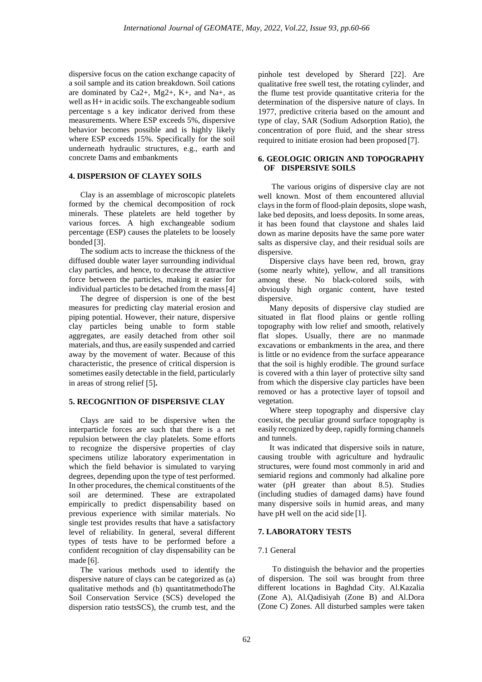dispersive focus on the cation exchange capacity of a soil sample and its cation breakdown. Soil cations are dominated by Ca2+, Mg2+, K+, and Na+, as well as H+ in acidic soils. The exchangeable sodium percentage s a key indicator derived from these measurements. Where ESP exceeds 5%, dispersive behavior becomes possible and is highly likely where ESP exceeds 15%. Specifically for the soil underneath hydraulic structures, e.g., earth and concrete Dams and embankments

## **4. DISPERSION OF CLAYEY SOILS**

Clay is an assemblage of microscopic platelets formed by the chemical decomposition of rock minerals. These platelets are held together by various forces. A high exchangeable sodium percentage (ESP) causes the platelets to be loosely bonded [3].

The sodium acts to increase the thickness of the diffused double water layer surrounding individual clay particles, and hence, to decrease the attractive force between the particles, making it easier for individual particles to be detached from the mass[4]

The degree of dispersion is one of the best measures for predicting clay material erosion and piping potential. However, their nature, dispersive clay particles being unable to form stable aggregates, are easily detached from other soil materials, and thus, are easily suspended and carried away by the movement of water. Because of this characteristic, the presence of critical dispersion is sometimes easily detectable in the field, particularly in areas of strong relief [5]**.**

## **5. RECOGNITION OF DISPERSIVE CLAY**

Clays are said to be dispersive when the interparticle forces are such that there is a net repulsion between the clay platelets. Some efforts to recognize the dispersive properties of clay specimens utilize laboratory experimentation in which the field behavior is simulated to varying degrees, depending upon the type of test performed. In other procedures, the chemical constituents of the soil are determined. These are extrapolated empirically to predict dispensability based on previous experience with similar materials. No single test provides results that have a satisfactory level of reliability. In general, several different types of tests have to be performed before a confident recognition of clay dispensability can be made [6].

The various methods used to identify the dispersive nature of clays can be categorized as (a) qualitative methods and (b) quantitatmethodoThe Soil Conservation Service (SCS) developed the dispersion ratio testsSCS), the crumb test, and the

pinhole test developed by Sherard [22]. Are qualitative free swell test, the rotating cylinder, and the flume test provide quantitative criteria for the determination of the dispersive nature of clays. In 1977, predictive criteria based on the amount and type of clay, SAR (Sodium Adsorption Ratio), the concentration of pore fluid, and the shear stress required to initiate erosion had been proposed [7].

## **6. GEOLOGIC ORIGIN AND TOPOGRAPHY OF DISPERSIVE SOILS**

The various origins of dispersive clay are not well known. Most of them encountered alluvial clays in the form of flood-plain deposits, slope wash, lake bed deposits, and loess deposits. In some areas, it has been found that claystone and shales laid down as marine deposits have the same pore water salts as dispersive clay, and their residual soils are dispersive.

Dispersive clays have been red, brown, gray (some nearly white), yellow, and all transitions among these. No black-colored soils, with obviously high organic content, have tested dispersive.

Many deposits of dispersive clay studied are situated in flat flood plains or gentle rolling topography with low relief and smooth, relatively flat slopes. Usually, there are no manmade excavations or embankments in the area, and there is little or no evidence from the surface appearance that the soil is highly erodible. The ground surface is covered with a thin layer of protective silty sand from which the dispersive clay particles have been removed or has a protective layer of topsoil and vegetation.

Where steep topography and dispersive clay coexist, the peculiar ground surface topography is easily recognized by deep, rapidly forming channels and tunnels.

It was indicated that dispersive soils in nature, causing trouble with agriculture and hydraulic structures, were found most commonly in arid and semiarid regions and commonly had alkaline pore water (pH greater than about 8.5). Studies (including studies of damaged dams) have found many dispersive soils in humid areas, and many have pH well on the acid side [1].

## **7. LABORATORY TESTS**

## 7.1 General

 To distinguish the behavior and the properties of dispersion. The soil was brought from three different locations in Baghdad City. Al.Kazalia (Zone A), Al.Qadisiyah (Zone B) and Al.Dora (Zone C) Zones. All disturbed samples were taken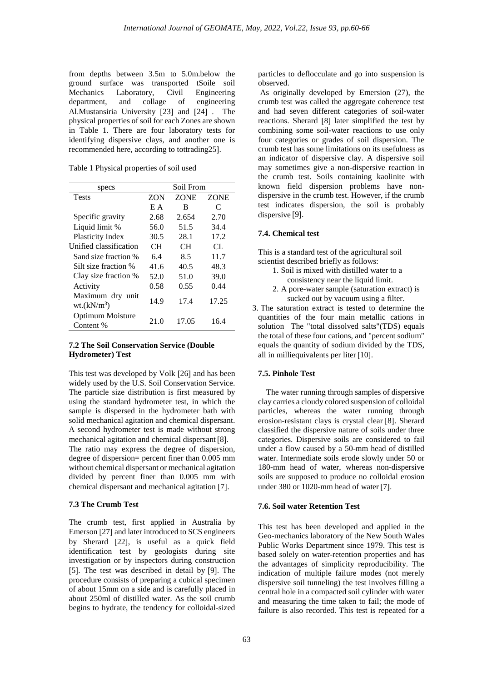from depths between 3.5m to 5.0m.below the ground surface was transported tSoile soil Mechanics Laboratory, Civil Engineering department, and collage of engineering Al.Mustansiria University [23] and [24] . The physical properties of soil for each Zones are shown in Table 1. There are four laboratory tests for identifying dispersive clays, and another one is recommended here, according to tottrading25].

Table 1 Physical properties of soil used

| specs                             | Soil From  |             |             |
|-----------------------------------|------------|-------------|-------------|
| <b>Tests</b>                      | <b>ZON</b> | <b>ZONE</b> | <b>ZONE</b> |
|                                   | E A        | B           | C           |
| Specific gravity                  | 2.68       | 2.654       | 2.70        |
| Liquid limit %                    | 56.0       | 51.5        | 34.4        |
| <b>Plasticity Index</b>           | 30.5       | 28.1        | 17.2        |
| Unified classification            | CН         | CН          | CL.         |
| Sand size fraction %              | 6.4        | 8.5         | 11.7        |
| Silt size fraction %              | 41.6       | 40.5        | 48.3        |
| Clay size fraction %              | 52.0       | 51.0        | 39.0        |
| Activity                          | 0.58       | 0.55        | 0.44        |
| Maximum dry unit<br>$wt.(kN/m^3)$ | 14.9       | 17.4        | 17.25       |
| Optimum Moisture<br>Content %     | 21.0       | 17.05       | 16.4        |

## **7.2 The Soil Conservation Service (Double Hydrometer) Test**

This test was developed by Volk [26] and has been widely used by the U.S. Soil Conservation Service. The particle size distribution is first measured by using the standard hydrometer test, in which the sample is dispersed in the hydrometer bath with solid mechanical agitation and chemical dispersant. A second hydrometer test is made without strong mechanical agitation and chemical dispersant [8]. The ratio may express the degree of dispersion, degree of dispersion= percent finer than 0.005 mm

without chemical dispersant or mechanical agitation divided by percent finer than 0.005 mm with chemical dispersant and mechanical agitation [7].

#### **7.3 The Crumb Test**

The crumb test, first applied in Australia by Emerson [27] and later introduced to SCS engineers by Sherard [22], is useful as a quick field identification test by geologists during site investigation or by inspectors during construction [5]. The test was described in detail by [9]. The procedure consists of preparing a cubical specimen of about 15mm on a side and is carefully placed in about 250ml of distilled water. As the soil crumb begins to hydrate, the tendency for colloidal-sized

particles to deflocculate and go into suspension is observed.

As originally developed by Emersion (27), the crumb test was called the aggregate coherence test and had seven different categories of soil-water reactions. Sherard [8] later simplified the test by combining some soil-water reactions to use only four categories or grades of soil dispersion. The crumb test has some limitations on its usefulness as an indicator of dispersive clay. A dispersive soil may sometimes give a non-dispersive reaction in the crumb test. Soils containing kaolinite with known field dispersion problems have nondispersive in the crumb test. However, if the crumb test indicates dispersion, the soil is probably dispersive [9].

#### **7.4. Chemical test**

This is a standard test of the agricultural soil scientist described briefly as follows:

- 1. Soil is mixed with distilled water to a consistency near the liquid limit.
- 2. A pore-water sample (saturation extract) is sucked out by vacuum using a filter.
- 3. The saturation extract is tested to determine the quantities of the four main metallic cations in solution The "total dissolved salts"(TDS) equals the total of these four cations, and "percent sodium" equals the quantity of sodium divided by the TDS, all in milliequivalents per liter [10].

## **7.5. Pinhole Test**

 The water running through samples of dispersive clay carries a cloudy colored suspension of colloidal particles, whereas the water running through erosion-resistant clays is crystal clear [8]. Sherard classified the dispersive nature of soils under three categories. Dispersive soils are considered to fail under a flow caused by a 50-mm head of distilled water. Intermediate soils erode slowly under 50 or 180-mm head of water, whereas non-dispersive soils are supposed to produce no colloidal erosion under 380 or 1020-mm head of water [7].

#### **7.6. Soil water Retention Test**

This test has been developed and applied in the Geo-mechanics laboratory of the New South Wales Public Works Department since 1979. This test is based solely on water-retention properties and has the advantages of simplicity reproducibility. The indication of multiple failure modes (not merely dispersive soil tunneling) the test involves filling a central hole in a compacted soil cylinder with water and measuring the time taken to fail; the mode of failure is also recorded. This test is repeated for a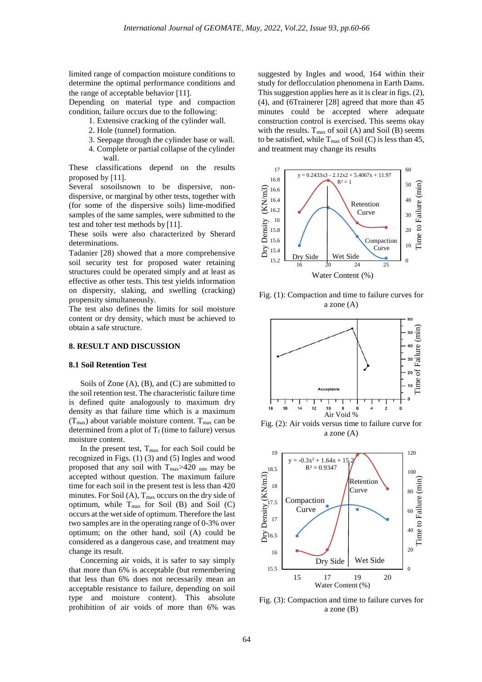limited range of compaction moisture conditions to determine the optimal performance conditions and the range of acceptable behavior [11].

Depending on material type and compaction condition, failure occurs due to the following:

- 1. Extensive cracking of the cylinder wall.
- 2. Hole (tunnel) formation.
- 3. Seepage through the cylinder base or wall.
- 4. Complete or partial collapse of the cylinder wall.

These classifications depend on the results proposed by [11].

Several sosoilsnown to be dispersive, nondispersive, or marginal by other tests, together with (for some of the dispersive soils) lime-modified samples of the same samples, were submitted to the test and toher test methods by [11].

These soils were also characterized by Sherard determinations.

Tadanier [28) showed that a more comprehensive soil security test for proposed water retaining structures could be operated simply and at least as effective as other tests. This test yields information on dispersity, slaking, and swelling (cracking) propensity simultaneously.

The test also defines the limits for soil moisture content or dry density, which must be achieved to obtain a safe structure.

## **8. RESULT AND DISCUSSION**

#### **8.1 Soil Retention Test**

Soils of Zone (A), (B), and (C) are submitted to the soil retention test. The characteristic failure time is defined quite analogously to maximum dry density as that failure time which is a maximum  $(T_{max})$  about variable moisture content.  $T_{max}$  can be determined from a plot of  $T_f$  (time to failure) versus moisture content.

In the present test, Tmax for each Soil could be recognized in Figs. (1) (3) and (5) Ingles and wood proposed that any soil with Tmax>420 min may be accepted without question. The maximum failure time for each soil in the present test is less than 420 minutes. For Soil  $(A)$ ,  $T_{max}$  occurs on the dry side of optimum, while  $T_{max}$  for Soil (B) and Soil (C) occurs at the wet side of optimum. Therefore the last two samples are in the operating range of 0-3% over optimum; on the other hand, soil (A) could be considered as a dangerous case, and treatment may change its result.

Concerning air voids, it is safer to say simply that more than 6% is acceptable (but remembering that less than 6% does not necessarily mean an acceptable resistance to failure, depending on soil type and moisture content). This absolute prohibition of air voids of more than 6% was suggested by Ingles and wood, 164 within their study for deflocculation phenomena in Earth Dams. This suggestion applies here as it is clear in figs. (2), (4), and (6Trainerer [28] agreed that more than 45 minutes could be accepted where adequate construction control is exercised. This seems okay with the results.  $T_{\text{max}}$  of soil (A) and Soil (B) seems to be satisfied, while  $T_{\text{max}}$  of Soil (C) is less than 45, and treatment may change its results



Fig. (1): Compaction and time to failure curves for a zone (A)



Fig. (2): Air voids versus time to failure curve for a zone (A)



Fig. (3): Compaction and time to failure curves for a zone (B)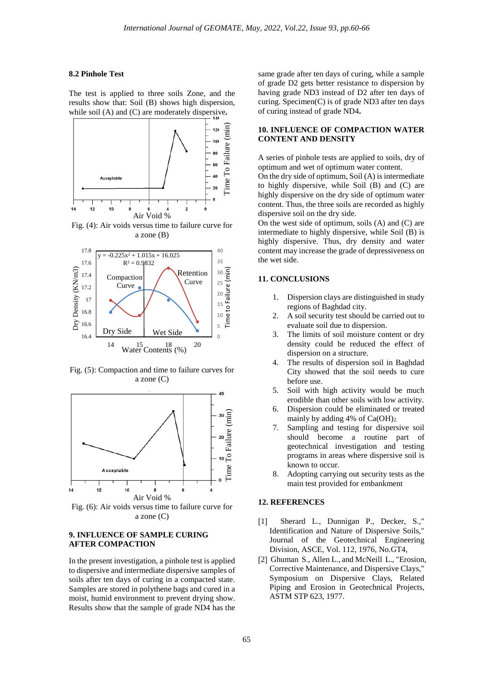#### **8.2 Pinhole Test**

The test is applied to three soils Zone, and the results show that: Soil (B) shows high dispersion, while soil (A) and (C) are moderately dispersive**.**



Fig. (4): Air voids versus time to failure curve for a zone (B)



Fig. (5): Compaction and time to failure curves for a zone (C)



Fig. (6): Air voids versus time to failure curve for a zone (C)

## **9. INFLUENCE OF SAMPLE CURING AFTER COMPACTION**

In the present investigation, a pinhole test is applied to dispersive and intermediate dispersive samples of soils after ten days of curing in a compacted state. Samples are stored in polythene bags and cured in a moist, humid environment to prevent drying show. Results show that the sample of grade ND4 has the

same grade after ten days of curing, while a sample of grade D2 gets better resistance to dispersion by having grade ND3 instead of D2 after ten days of curing. Specimen(C) is of grade ND3 after ten days of curing instead of grade ND4**.**

## **10. INFLUENCE OF COMPACTION WATER CONTENT AND DENSITY**

A series of pinhole tests are applied to soils, dry of optimum and wet of optimum water content.

On the dry side of optimum, Soil (A) is intermediate to highly dispersive, while Soil (B) and (C) are highly dispersive on the dry side of optimum water content. Thus, the three soils are recorded as highly dispersive soil on the dry side.

On the west side of optimum, soils (A) and (C) are intermediate to highly dispersive, while Soil (B) is highly dispersive. Thus, dry density and water content may increase the grade of depressiveness on the wet side.

## **11. CONCLUSIONS**

- 1. Dispersion clays are distinguished in study regions of Baghdad city.
- 2. A soil security test should be carried out to evaluate soil due to dispersion.
- 3. The limits of soil moisture content or dry density could be reduced the effect of dispersion on a structure.
- 4. The results of dispersion soil in Baghdad City showed that the soil needs to cure before use.
- 5. Soil with high activity would be much erodible than other soils with low activity.
- 6. Dispersion could be eliminated or treated mainly by adding 4% of  $Ca(OH)_2$ .
- 7. Sampling and testing for dispersive soil should become a routine part of geotechnical investigation and testing programs in areas where dispersive soil is known to occur.
- 8. Adopting carrying out security tests as the main test provided for embankment

## **12. REFERENCES**

- [1] Sherard L., Dunnigan P., Decker, S.," Identification and Nature of Dispersive Soils," Journal of the Geotechnical Engineering Division, ASCE, Vol. 112, 1976, No.GT4,
- [2] Ghuman S., Allen L., and McNeill L., "Erosion, Corrective Maintenance, and Dispersive Clays," Symposium on Dispersive Clays, Related Piping and Erosion in Geotechnical Projects, ASTM STP 623, 1977.